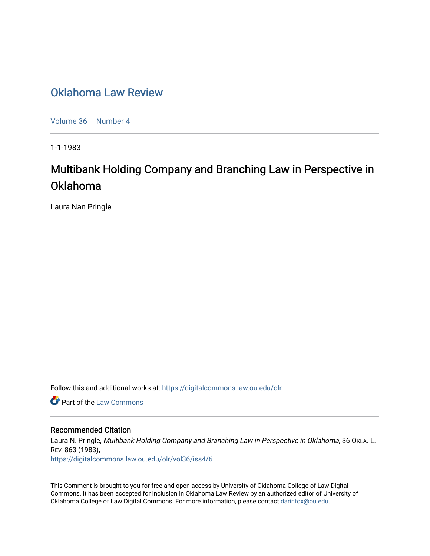## [Oklahoma Law Review](https://digitalcommons.law.ou.edu/olr)

[Volume 36](https://digitalcommons.law.ou.edu/olr/vol36) | [Number 4](https://digitalcommons.law.ou.edu/olr/vol36/iss4)

1-1-1983

# Multibank Holding Company and Branching Law in Perspective in Oklahoma

Laura Nan Pringle

Follow this and additional works at: [https://digitalcommons.law.ou.edu/olr](https://digitalcommons.law.ou.edu/olr?utm_source=digitalcommons.law.ou.edu%2Folr%2Fvol36%2Fiss4%2F6&utm_medium=PDF&utm_campaign=PDFCoverPages)

**Part of the [Law Commons](http://network.bepress.com/hgg/discipline/578?utm_source=digitalcommons.law.ou.edu%2Folr%2Fvol36%2Fiss4%2F6&utm_medium=PDF&utm_campaign=PDFCoverPages)** 

### Recommended Citation

Laura N. Pringle, Multibank Holding Company and Branching Law in Perspective in Oklahoma, 36 OKLA. L. REV. 863 (1983), [https://digitalcommons.law.ou.edu/olr/vol36/iss4/6](https://digitalcommons.law.ou.edu/olr/vol36/iss4/6?utm_source=digitalcommons.law.ou.edu%2Folr%2Fvol36%2Fiss4%2F6&utm_medium=PDF&utm_campaign=PDFCoverPages) 

This Comment is brought to you for free and open access by University of Oklahoma College of Law Digital Commons. It has been accepted for inclusion in Oklahoma Law Review by an authorized editor of University of Oklahoma College of Law Digital Commons. For more information, please contact [darinfox@ou.edu.](mailto:darinfox@ou.edu)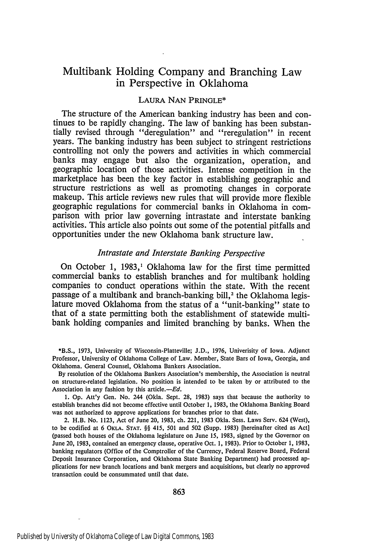## Multibank Holding Company and Branching Law in Perspective in Oklahoma

## LAURA NAN PRINGLE\*

The structure of the American banking industry has been and continues to be rapidly changing. The law of banking has been substantially revised through "deregulation" and "reregulation" in recent years. The banking industry has been subject to stringent restrictions controlling not only the powers and activities in which commercial banks may engage but also the organization, operation, and geographic location of those activities. Intense competition in the marketplace has been the key factor in establishing geographic and structure restrictions as well as promoting changes in corporate makeup. This article reviews new rules that will provide more flexible geographic regulations for commercial banks in Oklahoma in comparison with prior law governing intrastate and interstate banking activities. This article also points out some of the potential pitfalls and opportunities under the new Oklahoma bank structure law.

#### *Intrastate and Interstate Banking Perspective*

On October 1, 1983,' Oklahoma law for the first time permitted commercial banks to establish branches and for multibank holding companies to conduct operations within the state. With the recent passage of a multibank and branch-banking bill,<sup>2</sup> the Oklahoma legislature moved Oklahoma from the status of a "unit-banking" state to that of a state permitting both the establishment of statewide multibank holding companies and limited branching by banks. When the

\*B.S., 1973, University of Wisconsin-Platteville; J.D., 1976, Univerisity of Iowa. Adjunct Professor, University of Oklahoma College of Law. Member, State Bars of Iowa, Georgia, and Oklahoma. General Counsel, Oklahoma Bankers Association.

By resolution of the Oklahoma Bankers Association's membership, the Association is neutral on structure-related legislation. No position is intended to be taken by or attributed to the Association in any fashion by this article. $-Ed$ .

1. Op. Att'y Gen. No. 244 (Okla. Sept. 28, 1983) says that because the authority to establish branches did not become effective until October 1, 1983, the Oklahoma Banking Board was not authorized to approve applications for branches prior to that date.

2. H.B. No. 1123, Act of June 20, 1983, ch. 221, 1983 Okla. Sess. Laws Serv. 624 (West), to be codified at 6 **OKLA. STAT.** §§ *415,* 501 and **502** (Supp. 1983) [hereinafter cited as Act] (passed both houses of the Oklahoma legislature on June *15,* 1983, signed by the Governor on June 20, 1983, contained an emergency clause, operative Oct. 1, 1983). Prior to October 1, 1983, banking regulators (Office of the Comptroller of the Currency, Federal Reserve Board, Federal Deposit Insurance Corporation, and Oklahoma State Banking Department) had processed applications for new branch locations and bank mergers and acquisitions, but clearly no approved transaction could be consummated until that date.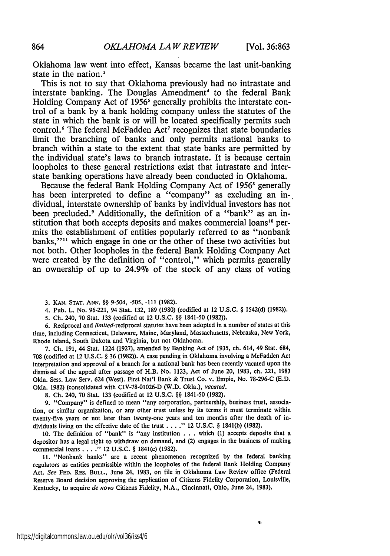Oklahoma law went into effect, Kansas became the last unit-banking state in the nation.<sup>3</sup>

This is not to say that Oklahoma previously had no intrastate and interstate banking. The Douglas Amendment<sup>4</sup> to the federal Bank Holding Company Act of 1956<sup>5</sup> generally prohibits the interstate control of a bank **by** a bank holding company unless the statutes of the state in which the bank is or will be located specifically permits such control.<sup>6</sup> The federal McFadden Act<sup>7</sup> recognizes that state boundaries limit the branching of banks and only permits national banks to branch within a state to the extent that state banks are permitted **by** the individual state's laws to branch intrastate. It is because certain loopholes to these general restrictions exist that intrastate and interstate banking operations have already been conducted in Oklahoma.

Because the federal Bank Holding Company Act of **19568** generally has been interpreted to define a "company" as excluding an individual, interstate ownership of banks **by** individual investors has not been precluded.<sup>9</sup> Additionally, the definition of a "bank" as an institution that both accepts deposits and makes commercial loans<sup>10</sup> permits the establishment of entities popularly referred to as "nonbank banks,"<sup>11</sup> which engage in one or the other of these two activities but not both. Other loopholes in the federal Bank Holding Company Act were created **by** the definition of "control," which permits generally an ownership of up to 24.9% of the stock of any class of voting

3. **KAN. STAT. ANN.** §§ 9-504, -505, **-111 (1982).**

4. Pub. L. No. 96-221, 94 Stat. 132, 189 (1980) (codified at 12 U.S.C. § 1542(d) (1982)).

5. Ch. 240, 70 Stat. 133 (codified at 12 U.S.C. §§ 1841-50 (1982)).

6. Reciprocal and *limited-reciprocal* statutes have been adopted in a number of states at this time, including Connecticut, Delaware, Maine, Maryland, Massachusetts, Nebraska, New York, Rhode Island, South Dakota and Virginia, but not Oklahoma.

7. Ch. 191, 44 Stat. 1224 (1927), amended by Banking Act of 1935, ch. 614, 49 Stat. 684, 708 (codified at 12 U.S.C. § 36 (1982)). A case pending in Oklahoma involving a McFadden Act interpretation and approval of a branch for a national bank has been recently vacated upon the dismissal of the appeal after passage of H.B. No. 1123, Act of June 20, 1983, ch. 221, 1983 Okla. Sess. Law Serv. 624 (Vest). First Nat'l Bank & Trust Co. v. Empie, No. 78-296-C (E.D. Okla. 1982) (consolidated with CIV-78-01026-D (W.D. Okla.), *vacated.*

8. Ch. 240, 70 Stat. **133** (codified at 12 U.S.C. §§ 1841-50 (1982).

9. "Company" is defined to mean "any corporation, partnership, business trust, association, or similar organization, or any other trust unless **by** its terms it must terminate within twenty-five years or not later than twenty-one years and ten months after the death of individuals living on the effective date of the trust **.**. **.."** 12 U.S.C. § 1841(b) (1982).

10. The definition of "bank" is "any institution **.**. . which (1) accepts deposits that a depositor has a legal right to withdraw on demand, and (2) engages in the business of making commercial loans. **...** 12 U.S.C. § 1841(c) (1982).

11. "Nonbank banks" are a recent phenomenon recognized **by** the federal banking regulators as entities permissible within the loopholes of the federal Bank Holding Company Act. *See* **FED.** REs. **BULL.,** June 24, **1983,** on file in Oklahoma Law Review office (Federal Reserve Board decision approving the application of Citizens Fidelity Corporation, Louisville, Kentucky, to acquire *de novo* Citizens Fidelity, N.A., Cincinnati, Ohio, June 24, 1983).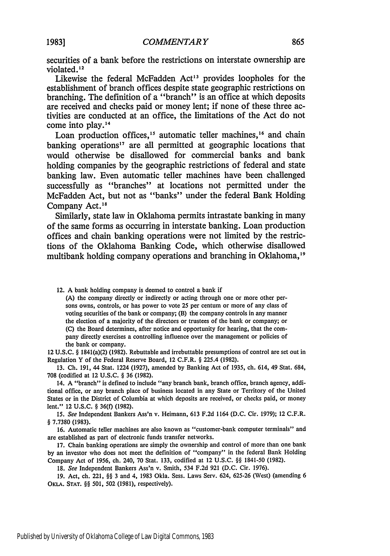securities of a bank before the restrictions on interstate ownership are violated.<sup>12</sup>

Likewise the federal McFadden Act<sup>13</sup> provides loopholes for the establishment of branch offices despite state geographic restrictions on branching. The definition of a "branch" is an office at which deposits are received and checks paid or money lent; if none of these three activities are conducted at an office, the limitations of the Act do not come into play.<sup>14</sup>

Loan production offices,<sup>15</sup> automatic teller machines,<sup>16</sup> and chain banking operations<sup>17</sup> are all permitted at geographic locations that would otherwise be disallowed for commercial banks and bank holding companies **by** the geographic restrictions of federal and state banking law. Even automatic teller machines have been challenged successfully as "branches" at locations not permitted under the McFadden Act, but not as "banks" under the federal Bank Holding Company Act.<sup>18</sup>

Similarly, state law in Oklahoma permits intrastate banking in many of the same forms as occurring in interstate banking. Loan production offices and chain banking operations were not limited **by** the restrictions of the Oklahoma Banking Code, which otherwise disallowed multibank holding company operations and branching in Oklahoma,<sup>19</sup>

12. A bank holding company is deemed to control a bank if

(A) the company directly or indirectly or acting through one or more other persons owns, controls, or has power to vote **25** per centum or more of any class of voting securities of the bank or company; (B) the company controls in any manner the election of a majority of the directors or trustees of the bank or company; or (C) the Board determines, after notice and opportunity for hearing, that the company directly exercises a controlling influence over the management or policies of the bank or company.

12 U.S.C. § 1841(a)(2) (1982). Rebuttable and irrebuttable presumptions of control are set out in Regulation Y of the Federal Reserve Board, 12 C.F.R. § 225.4 (1982).

13. Ch. 191, 44 Stat. 1224 (1927), amended by Banking Act of 1935, ch. 614, 49 Stat. 684, **708** (codified at 12 U.S.C. § 36 (1982).

14. A "branch" is defined to include "any branch bank, branch office, branch agency, additional office, or any branch place of business located in any State or Territory of the United States or in the District of Columbia at which deposits are received, or checks paid, or money lent." 12 U.S.C. § 36(f) (1982).

*15. See* Independent Bankers Ass'n v. Heimann, 613 F.2d 1164 (D.C. Cir. 1979); 12 C.F.R. § 7.7380 (1983).

16. Automatic teller machines are also known as "customer-bank computer terminals" and are established as part of electronic funds transfer networks.

17. Chain banking operations are simply the ownership and control of more than one bank by an investor who does not meet the definition of "company" in the federal Bank Holding Company Act of 1956, ch. 240, 70 Stat. 133, codified at 12 U.S.C. §§ 1841-50 (1982).

18. *See* Independent Bankers Ass'n v. Smith, 534 F.2d 921 (D.C. Cir. 1976).

19. Act, ch. 221, §§ 3 and 4, 1983 Okla. Sess. Laws Serv. 624, 625-26 (West) (amending 6 OKLA. **STAT.** §§ 501, 502 (1981), respectively).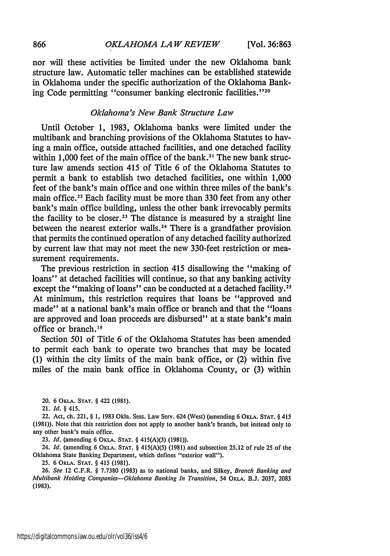nor will these activities be limited under the new Oklahoma bank structure law. Automatic teller machines can be established statewide in Oklahoma under the specific authorization of the Oklahoma Banking Code permitting "consumer banking electronic facilities."<sup>20</sup>

#### *Oklahoma's New Bank Structure Law*

Until October 1, 1983, Oklahoma banks were limited under the multibank and branching provisions of the Oklahoma Statutes to having a main office, outside attached facilities, and one detached facility within 1,000 feet of the main office of the bank.<sup>21</sup> The new bank structure law amends section 415 of Title 6 of the Oklahoma Statutes to permit a bank to establish two detached facilities, one within 1,000 feet of the bank's main office and one within three miles of the bank's main office.<sup>22</sup> Each facility must be more than 330 feet from any other bank's main office building, unless the other bank irrevocably permits the facility to be closer.<sup>23</sup> The distance is measured by a straight line between the nearest exterior walls.<sup>24</sup> There is a grandfather provision that permits the continued operation of any detached facility authorized by current law that may not meet the new 330-feet restriction or measurement requirements.

The previous restriction in section 415 disallowing the "making of loans" at detached facilities will continue, so that any banking activity except the "making of loans" can be conducted at a detached facility.<sup>2</sup> At minimum, this restriction requires that loans be "approved and made" at a national bank's main office or branch and that the "loans" are approved and loan proceeds are disbursed" at a state bank's main office or branch. $16$ 

Section 501 of Title 6 of the Oklahoma Statutes has been amended to permit each bank to operate two branches that may be located (1) within the city limits of the main bank office, or (2) within five miles of the main bank office in Oklahoma County, or (3) within

20. 6 OKLA. **STAT.** § 422 (1981).

21. Id. *§* 415.

22. Act, ch. 221, § **1,** 1983 Okla. Sess. Law Serv. 624 (West) (amending 6 OKLA. STAT. § 415 (1981)). Note that this restriction does not apply to another bank's branch, but instead only to any other bank's main office.

23. *Id.* (amending 6 OKLA. STAT. § 415(A)(3) (1981)).

24. *Id.* (amending 6 OKLA. **STAT.** § 415(A)(5) (1981) and subsection 25.12 of rule 25 of the Oklahoma State Banking Department, which defines "exterior wall").

25. 6 OKLA. **STAT.** § 415 (1981).

**26.** See 12 C.F.R. § 7.7380 (1983) as to national banks, and Silkey, Branch Banking and Multibank Holding Companies-Oklahoma Banking In Transition, 54 OKLA. **B.J.** 2037, 2083 (1983).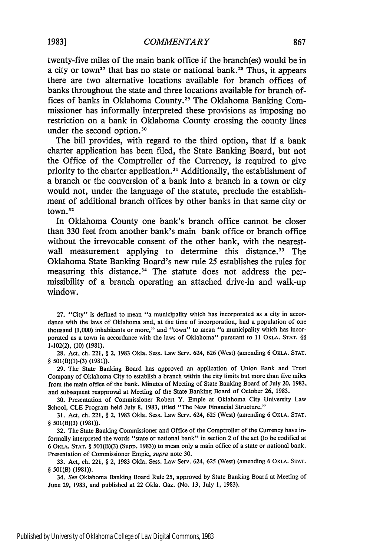twenty-five miles of the main bank office if the branch(es) would be in a city or town<sup>27</sup> that has no state or national bank.<sup>28</sup> Thus, it appears there are two alternative locations available for branch offices of banks throughout the state and three locations available for branch offices of banks in Oklahoma County.<sup>29</sup> The Oklahoma Banking Commissioner has informally interpreted these provisions as imposing no restriction on a bank in Oklahoma County crossing the county lines under the second option. $30$ 

The bill provides, with regard to the third option, that if a bank charter application has been filed, the State Banking Board, but not the Office of the Comptroller of the Currency, is required to give priority to the charter application.<sup>31</sup> Additionally, the establishment of a branch or the conversion of a bank into a branch in a town or city would not, under the language of the statute, preclude the establishment of additional branch offices by other banks in that same city or town.<sup>32</sup>

In Oklahoma County one bank's branch office cannot be closer than 330 feet from another bank's main bank office or branch office without the irrevocable consent of the other bank, with the nearestwall measurement applying to determine this distance.<sup>33</sup> The Oklahoma State Banking Board's new rule 25 establishes the rules for measuring this distance.<sup>34</sup> The statute does not address the permissibility of a branch operating an attached drive-in and walk-up window.

**27.** "City" is defined to mean "a municipality which has incorporated as a city in accordance with the laws of Oklahoma and, at the time of incorporation, had a population of one thousand (1,000) inhabitants or more," and "town" to mean "a municipality which has incorporated as a town in accordance with the laws of Oklahoma" pursuant to 11 OKLA. **STAT.** §§ 1-102(2), **(10) (1981).**

28. Act, ch. 221, § 2, 1983 Okla. Sess. Law Serv. 624, **626** (West) (amending **6 OKLA. STAT.** § 501(B)(1)-(3) (1981)).

29. The State Banking Board has approved an application of Union Bank and Trust Company of Oklahoma City to establish a branch within the city limits but more than five miles from the main office of the bank. Minutes of Meeting of State Banking Board of July 20, 1983, and subsequent reapproval at Meeting of the State Banking Board of October 26, 1983.

30. Presentation of Commissioner Robert Y. Empie at Oklahoma City University Law School, CLE Program held July 8, 1983, titled "The New Financial Structure."

31. Act, ch. 221, § 2, 1983 Okla. Sess. Law Serv. 624, 625 (West) (amending 6 OKLA. **STAT.** § 501(B)(3) (1981)).

**32.** The State Banking Commissioner and Office of the Comptroller of the Currency have informally interpreted the words "state or national bank" in section 2 of the act (to be codified at 6 **OKLA. STAT.** § 501(B)(3) (Supp. 1983)) to mean only a main office of a state or national bank. Presentation of Commissioner Empie, *supra* note **30.**

**33.** Act, ch. 221, § 2, 1983 Okla. Sess. Law Serv. 624, 625 (West) (amending 6 **OKLA. STAT.** § 501(B) (1981)).

34. *See* Oklahoma Banking Board Rule 25, approved by State Banking Board at Meeting of June 29, 1983, and published at 22 Okla. Gaz. (No. 13, July **1,** 1983).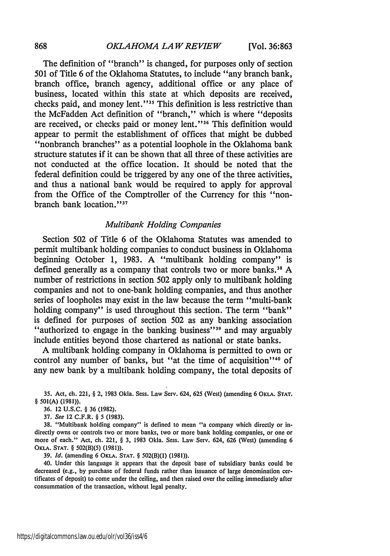The definition of "branch" is changed, for purposes only of section 501 of Title 6 of the Oklahoma Statutes, to include "any branch bank, branch office, branch agency, additional office or any place of business, located within this state at which deposits are received, checks paid, and money lent."<sup>35</sup> This definition is less restrictive than the McFadden Act definition of "branch," which is where "deposits are received, or checks paid or money lent."<sup>36</sup> This definition would appear to permit the establishment of offices that might be dubbed "nonbranch branches" as a potential loophole in the Oklahoma bank structure statutes if it can be shown that all three of these activities are not conducted at the office location. It should be noted that the federal definition could be triggered by any one of the three activities, and thus a national bank would be required to apply for approval from the Office of the Comptroller of the Currency for this "nonbranch bank location."<sup>37</sup>

#### *Multibank Holding Companies*

Section 502 of Title 6 of the Oklahoma Statutes was amended to permit multibank holding companies to conduct business in Oklahoma beginning October 1, 1983. A "multibank holding company" is defined generally as a company that controls two or more banks.<sup>38</sup> A number of restrictions in section 502 apply only to multibank holding companies and not to one-bank holding companies, and thus another series of loopholes may exist in the law because the term "multi-bank holding company" is used throughout this section. The term "bank" is defined for purposes of section 502 as any banking association "authorized to engage in the banking business''39 and may arguably include entities beyond those chartered as national or state banks.

A multibank holding company in Oklahoma is permitted to own or control any number of banks, but "at the time of acquisition"<sup>40</sup> of any new bank by a multibank holding company, the total deposits of

37. *See* 12 C.F.R. § **5** (1983).

38. "Multibank holding company" is defined to mean "a company which directly or indirectly owns or controls two or more banks, two or more bank holding companies, or one or more of each." Act, ch. 221, § 3, 1983 Okla. Sess. Law Serv. 624, 626 (West) (amending 6 OKLA. **STAT.** § 502(B)(5) (1981)).

39. *Id.* (amending 6 OKLA. **STAT.** § 502(B)(1) **(1981)).**

40. Under this language it appears that the deposit base of subsidiary banks could be decreased (e.g., by purchase of federal funds rather than issuance of large denomination certificates of deposit) to come under the ceiling, and then raised over the ceiling immediately after consummation of the transaction, without legal penalty.

**<sup>35.</sup>** Act, ch. 221, § 2, **1983** Okla. Sess. Law Serv. 624, **625** (West) (amending 6 **OKLA. STAT.** § **501(A)** (1981)).

<sup>36. 12</sup> U.S.C. § 36 (1982).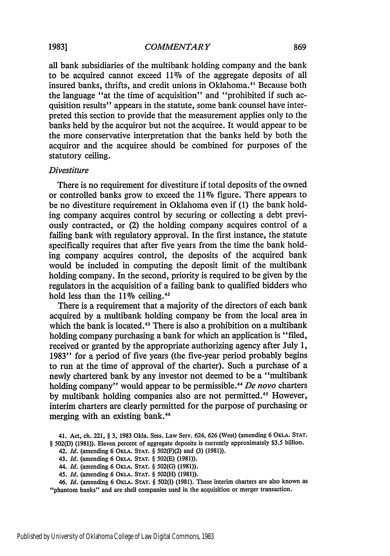all bank subsidiaries of the multibank holding company and the bank to be acquired cannot exceed **11%** of the aggregate deposits of all insured banks, thrifts, and credit unions in Oklahoma.<sup>41</sup> Because both the language "at the time of acquisition" and "prohibited if such acquisition results" appears in the statute, some bank counsel have interpreted this section to provide that the measurement applies only to the banks held by the acquiror but not the acquiree. It would appear to be the more conservative interpretation that the banks held by both the acquiror and the acquiree should be combined for purposes of the statutory ceiling.

#### *Divestiture*

There is no requirement for divestiture if total deposits of the owned or controlled banks grow to exceed the 11% figure. There appears to be no divestiture requirement in Oklahoma even if (1) the bank holding company acquires control by securing or collecting a debt previously contracted, or (2) the holding company acquires control of a falling bank with regulatory approval. In the first instance, the statute specifically requires that after five years from the time the bank holding company acquires control, the deposits of the acquired bank would be included in computing the deposit limit of the multibank holding company. In the second, priority is required to be given by the regulators in the acquisition of a failing bank to qualified bidders who hold less than the 11% ceiling.<sup>42</sup>

There is a requirement that a majority of the directors of each bank acquired by a multibank holding company be from the local area in which the bank is located.<sup>43</sup> There is also a prohibition on a multibank holding company purchasing a bank for which an application is "filed, received or granted by the appropriate authorizing agency after July 1, 1983" for a period of five years (the five-year period probably begins to run at the time of approval of the charter). Such a purchase of a newly chartered bank by any investor not deemed to be a "multibank holding company" would appear to be permissible.44 *De novo* charters by multibank holding companies also are not permitted.<sup>45</sup> However, interim charters are clearly permitted for the purpose of purchasing or merging with an existing bank.<sup>46</sup>

<sup>41.</sup> Act, ch. 221, § 3, 1983 Okla. Sess. Law Serv. 624, 626 (West) (amending 6 OKLA. **STAT.** § 502(D) (1981)). Eleven percent of aggregate deposits is currently approximately \$3.5 billion.

<sup>42.</sup> *Id.* (amending 6 OKLA. STAT. § 502(F)(2) and (3) (1981)).

<sup>43.</sup> *Id.* (amending 6 OKLA. **STAT.** § 502(E) (1981)).

<sup>44.</sup> *Id.* (amending **6** OKLA. **STAT.** § **502(G)** (1981)).

<sup>45.</sup> *Id.* (amending 6 OKLA. **STAT.** § 502(H) (1981)).

*<sup>46.</sup> Id.* (amending 6 OKLA. **STAT.** § 502(I) (1981). These interim charters are also known as "phantom banks" and are shell companies used in the acquisition or merger transaction.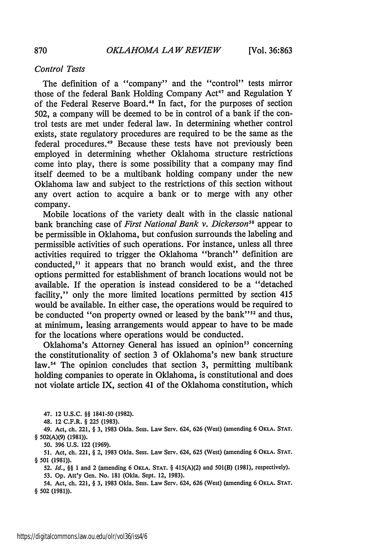#### *Control Tests*

The definition of a "company" and the "control" tests mirror those of the federal Bank Holding Company Act<sup>47</sup> and Regulation Y of the Federal Reserve Board.<sup>48</sup> In fact, for the purposes of section 502, a company will be deemed to be in control of a bank if the control tests are met under federal law. In determining whether control exists, state regulatory procedures are required to be the same as the federal procedures.<sup>49</sup> Because these tests have not previously been employed in determining whether Oklahoma structure restrictions come into play, there is some possibility that a company may find itself deemed to be a multibank holding company under the new Oklahoma law and subject to the restrictions of this section without any overt action to acquire a bank or to merge with any other company.

Mobile locations of the variety dealt with in the classic national bank branching case of *First National Bank v. Dickerson"0* appear to be permissible in Oklahoma, but confusion surrounds the labeling and permissible activities of such operations. For instance, unless all three activities required to trigger the Oklahoma "branch" definition are conducted,<sup>51</sup> it appears that no branch would exist, and the three options permitted for establishment of branch locations would not be available. If the operation is instead considered to be a "detached facility," only the more limited locations permitted by section 415 would be available. In either case, the operations would be required to be conducted "on property owned or leased by the bank"<sup>52</sup> and thus, at minimum, leasing arrangements would appear to have to be made for the locations where operations would be conducted.

Oklahoma's Attorney General has issued an opinion<sup>53</sup> concerning the constitutionality of section 3 of Oklahoma's new bank structure law.<sup>54</sup> The opinion concludes that section 3, permitting multibank holding companies to operate in Oklahoma, is constitutional and does not violate article IX, section 41 of the Oklahoma constitution, which

47. 12 **U.S.C. §§** 1841-50 **(1982).**

48. 12 C.F.R. § 225 (1983).

49. Act, **ch.** 221, **§** 3, 1983 Okla. Sess. Law Serv. 624, 626 (West) (amending 6 OKLA. **STAT. § 502(A)(9) (1981)).**

50. **396** U.S. 122 (1969).

51. Act, ch. 221, § 2, **1983** Okla. Sess. Law Serv. 624, **625** (West) (amending 6 **OKLA. STAT. § 501 (1981)).**

52. *Id.,* **§§** 1 and 2 (amending 6 **OKLA. STAT.** § 415(A)(2) and 501(B) (1981), respectively). **53. Op.** Att'y Gen. **No.** 181 (Okla. Sept. 12, 1983).

54. Act, ch. 221, **§ 3,** 1983 Okla. Sess. Law Serv. 624, 626 (Vest) (amending **6 OKLA. STAT. §** 502 (1981)).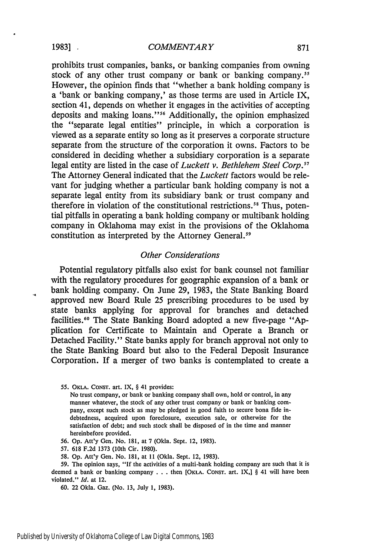**19831**

prohibits trust companies, banks, or banking companies from owning stock of any other trust company or bank or banking company.<sup>55</sup> However, the opinion finds that "whether a bank holding company is a 'bank or banking company,' as those terms are used in Article IX, section 41, depends on whether it engages in the activities of accepting deposits and making loans."<sup>56</sup> Additionally, the opinion emphasized the "separate legal entities" principle, in which a corporation is viewed as a separate entity so long as it preserves a corporate structure separate from the structure of the corporation it owns. Factors to be considered in deciding whether a subsidiary corporation is a separate legal entity are listed in the case of *Luckett v. Bethlehem Steel Corp."* The Attorney General indicated that the *Luckett* factors would be relevant for judging whether a particular bank holding company is not a separate legal entity from its subsidiary bank or trust company and therefore in violation of the constitutional restrictions.<sup>58</sup> Thus, potential pitfalls in operating a bank holding company or multibank holding company in Oklahoma may exist in the provisions of the Oklahoma constitution as interpreted by the Attorney General.<sup>59</sup>

#### *Other Considerations*

Potential regulatory pitfalls also exist for bank counsel not familiar with the regulatory procedures for geographic expansion of a bank or bank holding company. On June 29, 1983, the State Banking Board approved new Board Rule 25 prescribing procedures to be used by state banks applying for approval for branches and detached facilities.<sup>60</sup> The State Banking Board adopted a new five-page "Application for Certificate to Maintain and Operate a Branch or Detached Facility." State banks apply for branch approval not only to the State Banking Board but also to the Federal Deposit Insurance Corporation. If a merger of two banks is contemplated to create a

**56.** Op. Att'y Gen. No. 181, at 7 (Okla. Sept. 12, 1983).

**57.** 618 F.2d 1373 (10th Cir. 1980).

58. Op. Att'y Gen. No. 181, at 11 (Okla. Sept. 12, 1983).

**59.** The opinion says, "If the activities of a multi-bank holding company are such that it is deemed a bank or banking company . . . then [OKLA. CONST. art. IX,] § 41 will have been violated." *Id.* at 12.

60. 22 Okla. Gaz. (No. 13, July 1, 1983).

**<sup>55.</sup> OKLA. CONsT.** art. IX, § 41 provides:

No trust company, or bank or banking company shall own, hold or control, in any manner whatever, the stock of any other trust company or bank or banking company, except such stock as may be pledged in good faith to secure bona fide indebtedness, acquired upon foreclosure, execution sale, or otherwise for the satisfaction of debt; and such stock shall be disposed of in the time and manner hereinbefore provided.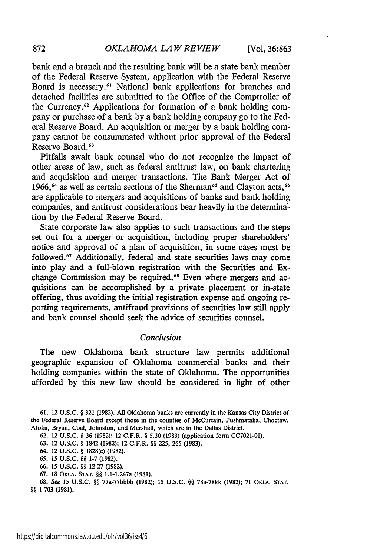bank and a branch and the resulting bank will be a state bank member of the Federal Reserve System, application with the Federal Reserve Board is necessary.<sup>61</sup> National bank applications for branches and detached facilities are submitted to the Office of the Comptroller of the Currency.62 Applications for formation of a bank holding company or purchase of a bank by a bank holding company go to the Federal Reserve Board. An acquisition or merger by a bank holding company cannot be consummated without prior approval of the Federal Reserve Board.<sup>63</sup>

Pitfalls await bank counsel who do not recognize the impact of other areas of law, such as federal antitrust law, on bank chartering and acquisition and merger transactions. The Bank Merger Act of 1966, $64$  as well as certain sections of the Sherman<sup>65</sup> and Clayton acts, $66$ are applicable to mergers and acquisitions of banks and bank holding companies, and antitrust considerations bear heavily in the determination by the Federal Reserve Board.

State corporate law also applies to such transactions and the steps set out for a merger or acquisition, including proper shareholders' notice and approval of a plan of acquisition, in some cases must be followed.<sup>67</sup> Additionally, federal and state securities laws may come into play and a full-blown registration with the Securities and Exchange Commission may be required.<sup>68</sup> Even where mergers and acquisitions can be accomplished by a private placement or in-state offering, thus avoiding the initial registration expense and ongoing reporting requirements, antifraud provisions of securities law still apply and bank counsel should seek the advice of securities counsel.

#### *Conclusion*

The new Oklahoma bank structure law permits additional geographic expansion of Oklahoma commercial banks and their holding companies within the state of Oklahoma. The opportunities afforded by this new law should be considered in light of other

61. 12 U.S.C. § 321 (1982). All Oklahoma banks are currently in the Kansas City District of the Federal Reserve Board except those in the counties of McCurtain, Pushmataha, Choctaw, Atoka, Bryan, Coal, Johnston, and Marshall, which are in the Dallas District.

62. 12 U.S.C. § 36 (1982); 12 C.F.R. § 5.30 (1983) (application form CC7021-01).

63. 12 U.S.C. § 1842 (1982); 12 C.F.R. §§ 225, 265 (1983).

64. 12 **U.S.C.** § 1828(c) **(1982).**

**65.** 15 **U.S.C.** §§ **1-7** (1982).

66. 15 U.S.C. §§ 12-27 (1982).

67. 18 OKLA. **STAT.** §§ 1.1-1.247a (1981).

68. See 15 U.S.C. §§ 77a-77bbbb (1982); 15 U.S.C. §§ 78a-78kk (1982); 71 OKLA. **STAT.** §§ **1-703 (1981).**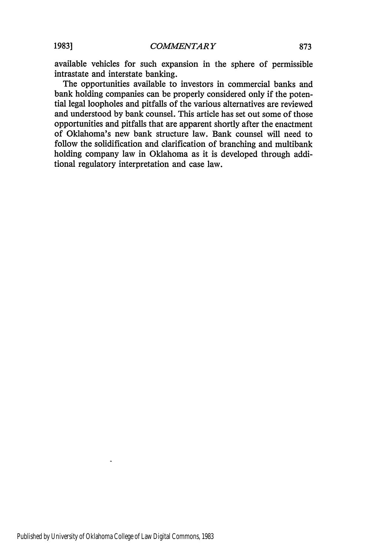available vehicles for such expansion in the sphere of permissible intrastate and interstate banking.

The opportunities available to investors in commercial banks and bank holding companies can be properly considered only if the potential legal loopholes and pitfalls of the various alternatives are reviewed and understood by bank counsel. This article has set out some of those opportunities and pitfalls that are apparent shortly after the enactment of Oklahoma's new bank structure law. Bank counsel will need to follow the solidification and clarification of branching and multibank holding company law in Oklahoma as it is developed through additional regulatory interpretation and case law.